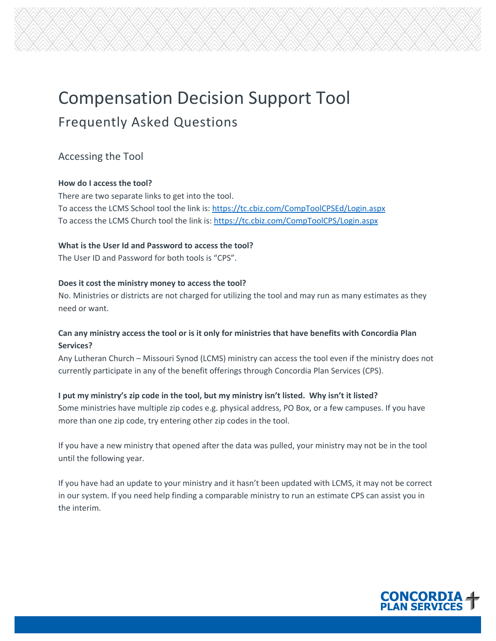# Compensation Decision Support Tool Frequently Asked Questions

# Accessing the Tool

## **How do I access the tool?**

There are two separate links to get into the tool. To access the LCMS School tool the link is: https://tc.cbiz.com/CompToolCPSEd/Login.aspx [To access the LCMS Church tool the link is](https://tc.cbiz.com/CompToolCPSEd/Login.aspx): https://tc.cbiz.com/CompToolCPS/Login.aspx

## **[What is the User Id and Password to acce](https://tc.cbiz.com/CompToolCPS/Login.aspx)ss the tool?**

The User ID and Password for both tools is "CPS".

## **Does it cost the ministry money to access the tool?**

No. Ministries or districts are not charged for utilizing the tool and may run as many estimates as they need or want.

## **Can any ministry access the tool or is it only for ministries that have benefits with Concordia Plan Services?**

Any Lutheran Church – Missouri Synod (LCMS) ministry can access the tool even if the ministry does not currently participate in any of the benefit offerings through Concordia Plan Services (CPS).

**I put my ministry's zip code in the tool, but my ministry isn't listed. Why isn't it listed?** Some ministries have multiple zip codes e.g. physical address, PO Box, or a few campuses. If you have more than one zip code, try entering other zip codes in the tool.

If you have a new ministry that opened after the data was pulled, your ministry may not be in the tool until the following year.

If you have had an update to your ministry and it hasn't been updated with LCMS, it may not be correct in our system. If you need help finding a comparable ministry to run an estimate CPS can assist you in the interim.

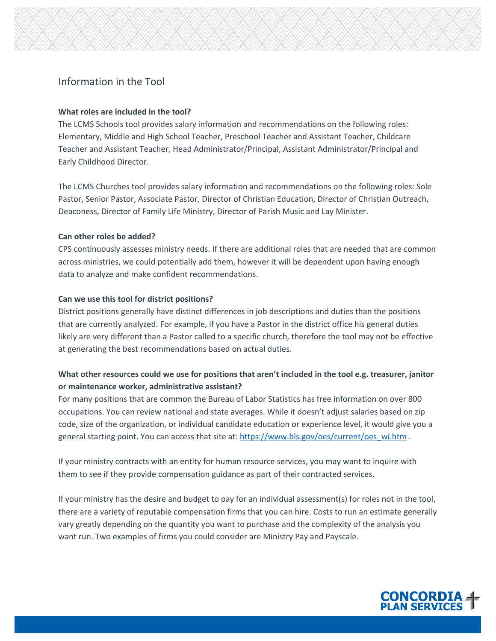# Information in the Tool

#### **What roles are included in the tool?**

The LCMS Schools tool provides salary information and recommendations on the following roles: Elementary, Middle and High School Teacher, Preschool Teacher and Assistant Teacher, Childcare Teacher and Assistant Teacher, Head Administrator/Principal, Assistant Administrator/Principal and Early Childhood Director.

The LCMS Churches tool provides salary information and recommendations on the following roles: Sole Pastor, Senior Pastor, Associate Pastor, Director of Christian Education, Director of Christian Outreach, Deaconess, Director of Family Life Ministry, Director of Parish Music and Lay Minister.

#### **Can other roles be added?**

CPS continuously assesses ministry needs. If there are additional roles that are needed that are common across ministries, we could potentially add them, however it will be dependent upon having enough data to analyze and make confident recommendations.

#### **Can we use this tool for district positions?**

District positions generally have distinct differences in job descriptions and duties than the positions that are currently analyzed. For example, if you have a Pastor in the district office his general duties likely are very different than a Pastor called to a specific church, therefore the tool may not be effective at generating the best recommendations based on actual duties.

## **What other resources could we use for positions that aren't included in the tool e.g. treasurer, janitor or maintenance worker, administrative assistant?**

For many positions that are common the Bureau of Labor Statistics has free information on over 800 occupations. You can review national and state averages. While it doesn't adjust salaries based on zip code, size of the organization, or individual candidate education or experience level, it would give you a general starting point[.](https://www.bls.gov/oes/current/oes_wi.htm) You can access that site at: https://www.bls.gov/oes/current/oes\_wi.htm .

[If your ministry contracts with an ent](https://www.bls.gov/oes/current/oes_wi.htm)ity for human resource services, you may want to inquire with them to see if they provide compensation guidance as part of their contracted services.

If your ministry has the desire and budget to pay for an individual assessment(s) for roles not in the tool, there are a variety of reputable compensation firms that you can hire. Costs to run an estimate generally vary greatly depending on the quantity you want to purchase and the complexity of the analysis you want run. Two examples of firms you could consider are Ministry Pay and Payscale.

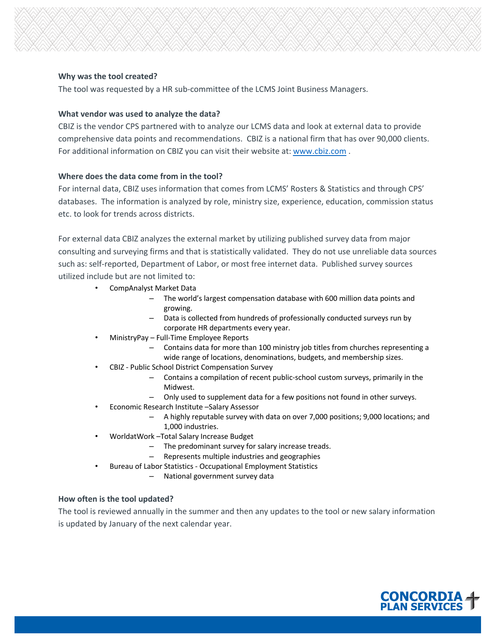#### **Why was the tool created?**

The tool was requested by a HR sub-committee of the LCMS Joint Business Managers.

#### **What vendor was used to analyze the data?**

CBIZ is the vendor CPS partnered with to analyze our LCMS data and look at external data to provide comprehensive data points and recommendations. CBIZ is a national firm that has over 90,000 clients. For additional information on CBIZ you can visit their website at: www[.](http://www.cbiz.com/)cbiz.com.

#### **[Where do](http://www.cbiz.com/)es the data come from in the tool?**

For internal data, CBIZ uses information that comes from LCMS' Rosters & Statistics and through CPS' databases. The information is analyzed by role, ministry size, experience, education, commission status etc. to look for trends across districts.

For external data CBIZ analyzes the external market by utilizing published survey data from major consulting and surveying firms and that is statistically validated. They do not use unreliable data sources such as: self-reported, Department of Labor, or most free internet data. Published survey sources utilized include but are not limited to:

- CompAnalyst Market Data
	- The world's largest compensation database with 600 million data points and growing.
	- Data is collected from hundreds of professionally conducted surveys run by corporate HR departments every year.
- MinistryPay Full-Time Employee Reports
	- Contains data for more than 100 ministry job titles from churches representing a wide range of locations, denominations, budgets, and membership sizes.
- CBIZ Public School District Compensation Survey
	- Contains a compilation of recent public-school custom surveys, primarily in the Midwest.
	- Only used to supplement data for a few positions not found in other surveys.
- Economic Research Institute –Salary Assessor
	- A highly reputable survey with data on over 7,000 positions; 9,000 locations; and 1,000 industries.
- WorldatWork –Total Salary Increase Budget
	- The predominant survey for salary increase treads.
	- Represents multiple industries and geographies
	- Bureau of Labor Statistics Occupational Employment Statistics
		- National government survey data

#### **How often is the tool updated?**

The tool is reviewed annually in the summer and then any updates to the tool or new salary information is updated by January of the next calendar year.

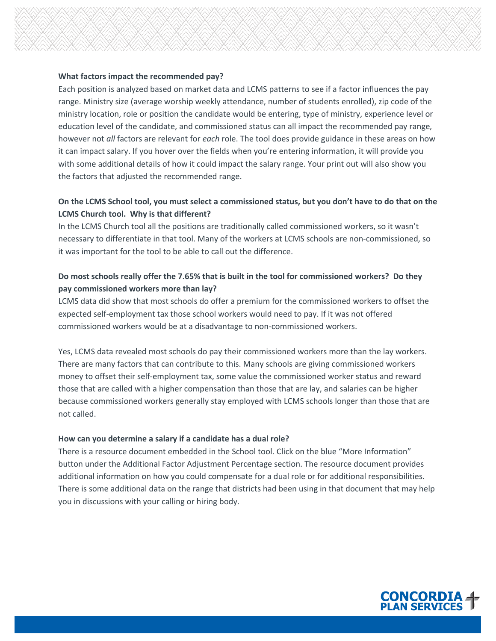#### **What factors impact the recommended pay?**

Each position is analyzed based on market data and LCMS patterns to see if a factor influences the pay range. Ministry size (average worship weekly attendance, number of students enrolled), zip code of the ministry location, role or position the candidate would be entering, type of ministry, experience level or education level of the candidate, and commissioned status can all impact the recommended pay range, however not *all* factors are relevant for *each* role. The tool does provide guidance in these areas on how it can impact salary. If you hover over the fields when you're entering information, it will provide you with some additional details of how it could impact the salary range. Your print out will also show you the factors that adjusted the recommended range.

## **On the LCMS School tool, you must select a commissioned status, but you don't have to do that on the LCMS Church tool. Why is that different?**

In the LCMS Church tool all the positions are traditionally called commissioned workers, so it wasn't necessary to differentiate in that tool. Many of the workers at LCMS schools are non-commissioned, so it was important for the tool to be able to call out the difference.

## **Do most schools really offer the 7.65% that is built in the tool for commissioned workers? Do they pay commissioned workers more than lay?**

LCMS data did show that most schools do offer a premium for the commissioned workers to offset the expected self-employment tax those school workers would need to pay. If it was not offered commissioned workers would be at a disadvantage to non-commissioned workers.

Yes, LCMS data revealed most schools do pay their commissioned workers more than the lay workers. There are many factors that can contribute to this. Many schools are giving commissioned workers money to offset their self-employment tax, some value the commissioned worker status and reward those that are called with a higher compensation than those that are lay, and salaries can be higher because commissioned workers generally stay employed with LCMS schools longer than those that are not called.

#### **How can you determine a salary if a candidate has a dual role?**

There is a resource document embedded in the School tool. Click on the blue "More Information" button under the Additional Factor Adjustment Percentage section. The resource document provides additional information on how you could compensate for a dual role or for additional responsibilities. There is some additional data on the range that districts had been using in that document that may help you in discussions with your calling or hiring body.

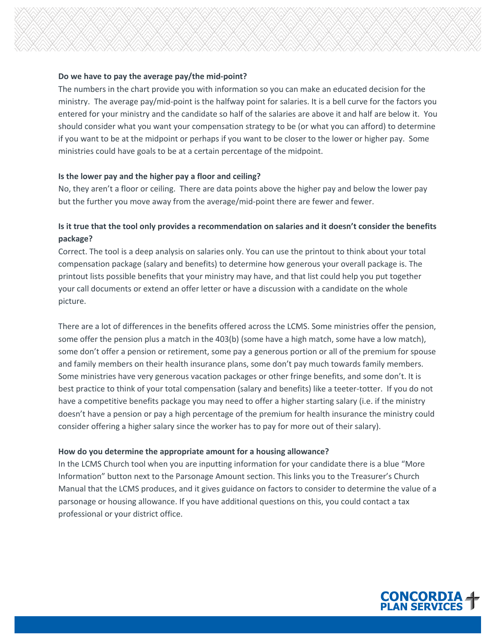#### **Do we have to pay the average pay/the mid-point?**

The numbers in the chart provide you with information so you can make an educated decision for the ministry. The average pay/mid-point is the halfway point for salaries. It is a bell curve for the factors you entered for your ministry and the candidate so half of the salaries are above it and half are below it. You should consider what you want your compensation strategy to be (or what you can afford) to determine if you want to be at the midpoint or perhaps if you want to be closer to the lower or higher pay. Some ministries could have goals to be at a certain percentage of the midpoint.

#### **Is the lower pay and the higher pay a floor and ceiling?**

No, they aren't a floor or ceiling. There are data points above the higher pay and below the lower pay but the further you move away from the average/mid-point there are fewer and fewer.

## **Is it true that the tool only provides a recommendation on salaries and it doesn't consider the benefits package?**

Correct. The tool is a deep analysis on salaries only. You can use the printout to think about your total compensation package (salary and benefits) to determine how generous your overall package is. The printout lists possible benefits that your ministry may have, and that list could help you put together your call documents or extend an offer letter or have a discussion with a candidate on the whole picture.

There are a lot of differences in the benefits offered across the LCMS. Some ministries offer the pension, some offer the pension plus a match in the 403(b) (some have a high match, some have a low match), some don't offer a pension or retirement, some pay a generous portion or all of the premium for spouse and family members on their health insurance plans, some don't pay much towards family members. Some ministries have very generous vacation packages or other fringe benefits, and some don't. It is best practice to think of your total compensation (salary and benefits) like a teeter-totter. If you do not have a competitive benefits package you may need to offer a higher starting salary (i.e. if the ministry doesn't have a pension or pay a high percentage of the premium for health insurance the ministry could consider offering a higher salary since the worker has to pay for more out of their salary).

#### **How do you determine the appropriate amount for a housing allowance?**

In the LCMS Church tool when you are inputting information for your candidate there is a blue "More Information" button next to the Parsonage Amount section. This links you to the Treasurer's Church Manual that the LCMS produces, and it gives guidance on factors to consider to determine the value of a parsonage or housing allowance. If you have additional questions on this, you could contact a tax professional or your district office.